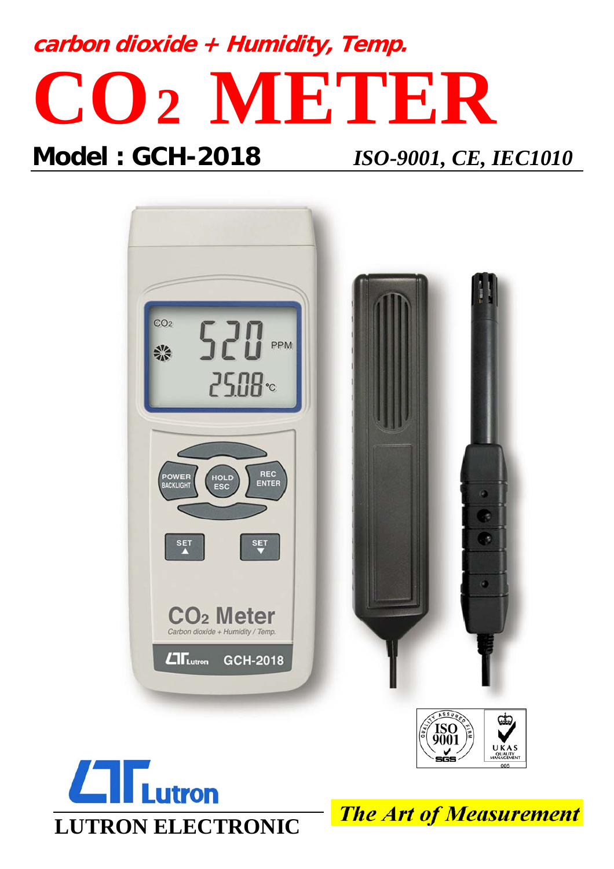# **carbon dioxide + Humidity, Temp. CO2 METER**

# **Model : GCH-2018** *ISO-9001, CE, IEC1010*





**The Art of Measurement**